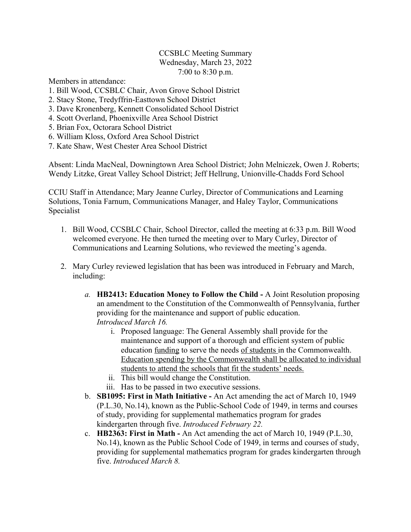## CCSBLC Meeting Summary Wednesday, March 23, 2022 7:00 to 8:30 p.m.

Members in attendance:

- 1. Bill Wood, CCSBLC Chair, Avon Grove School District
- 2. Stacy Stone, Tredyffrin-Easttown School District
- 3. Dave Kronenberg, Kennett Consolidated School District
- 4. Scott Overland, Phoenixville Area School District
- 5. Brian Fox, Octorara School District
- 6. William Kloss, Oxford Area School District
- 7. Kate Shaw, West Chester Area School District

Absent: Linda MacNeal, Downingtown Area School District; John Melniczek, Owen J. Roberts; Wendy Litzke, Great Valley School District; Jeff Hellrung, Unionville-Chadds Ford School

CCIU Staff in Attendance; Mary Jeanne Curley, Director of Communications and Learning Solutions, Tonia Farnum, Communications Manager, and Haley Taylor, Communications Specialist

- 1. Bill Wood, CCSBLC Chair, School Director, called the meeting at 6:33 p.m. Bill Wood welcomed everyone. He then turned the meeting over to Mary Curley, Director of Communications and Learning Solutions, who reviewed the meeting's agenda.
- 2. Mary Curley reviewed legislation that has been was introduced in February and March, including:
	- *a.* **HB2413: Education Money to Follow the Child -** A Joint Resolution proposing an amendment to the Constitution of the Commonwealth of Pennsylvania, further providing for the maintenance and support of public education. *Introduced March 16.*
		- i. Proposed language: The General Assembly shall provide for the maintenance and support of a thorough and efficient system of public education funding to serve the needs of students in the Commonwealth. Education spending by the Commonwealth shall be allocated to individual students to attend the schools that fit the students' needs.
		- ii. This bill would change the Constitution.
		- iii. Has to be passed in two executive sessions.
	- b. **SB1095: First in Math Initiative -** An Act amending the act of March 10, 1949 (P.L.30, No.14), known as the Public-School Code of 1949, in terms and courses of study, providing for supplemental mathematics program for grades kindergarten through five. *Introduced February 22.*
	- c. **HB2363: First in Math -** An Act amending the act of March 10, 1949 (P.L.30, No.14), known as the Public School Code of 1949, in terms and courses of study, providing for supplemental mathematics program for grades kindergarten through five. *Introduced March 8.*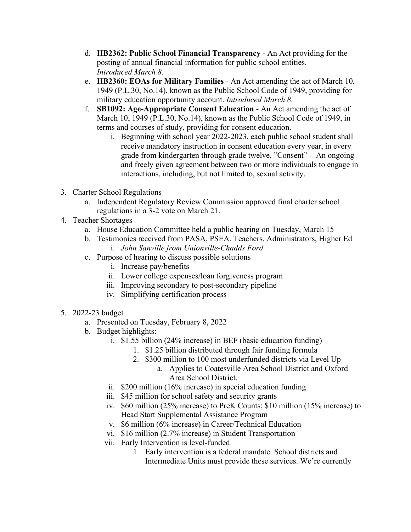- d. **HB2362: Public School Financial Transparency** An Act providing for the posting of annual financial information for public school entities. *Introduced March 8.*
- e. **HB2360: EOAs for Military Families** An Act amending the act of March 10, 1949 (P.L.30, No.14), known as the Public School Code of 1949, providing for military education opportunity account. *Introduced March 8.*
- f. **SB1092: Age-Appropriate Consent Education** An Act amending the act of March 10, 1949 (P.L.30, No.14), known as the Public School Code of 1949, in terms and courses of study, providing for consent education.
	- i. Beginning with school year 2022-2023, each public school student shall receive mandatory instruction in consent education every year, in every grade from kindergarten through grade twelve. "Consent" - An ongoing and freely given agreement between two or more individuals to engage in interactions, including, but not limited to, sexual activity.
- 3. Charter School Regulations
	- a. Independent Regulatory Review Commission approved final charter school regulations in a 3-2 vote on March 21.
- 4. Teacher Shortages
	- a. House Education Committee held a public hearing on Tuesday, March 15
	- b. Testimonies received from PASA, PSEA, Teachers, Administrators, Higher Ed i. *John Sanville from Unionville-Chadds Ford*
	- c. Purpose of hearing to discuss possible solutions
		- i. Increase pay/benefits
		- ii. Lower college expenses/loan forgiveness program
		- iii. Improving secondary to post-secondary pipeline
		- iv. Simplifying certification process
- 5. 2022-23 budget
	- a. Presented on Tuesday, February 8, 2022
	- b. Budget highlights:
		- i. \$1.55 billion (24% increase) in BEF (basic education funding)
			- 1. \$1.25 billion distributed through fair funding formula
			- 2. \$300 million to 100 most underfunded districts via Level Up
				- a. Applies to Coatesville Area School District and Oxford Area School District.
		- ii. \$200 million (16% increase) in special education funding
		- iii. \$45 million for school safety and security grants
		- iv. \$60 million (25% increase) to PreK Counts; \$10 million (15% increase) to Head Start Supplemental Assistance Program
		- v. \$6 million (6% increase) in Career/Technical Education
		- vi. \$16 million (2.7% increase) in Student Transportation
		- vii. Early Intervention is level-funded
			- 1. Early intervention is a federal mandate. School districts and Intermediate Units must provide these services. We're currently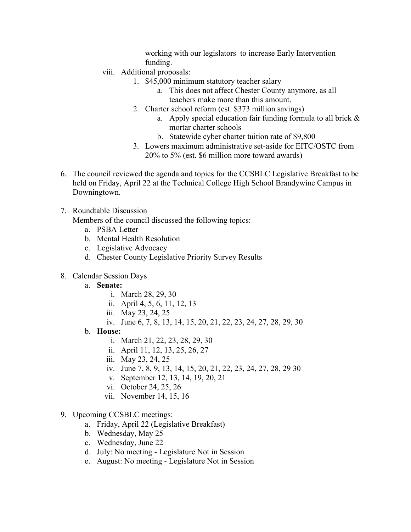working with our legislators to increase Early Intervention funding.

- viii. Additional proposals:
	- 1. \$45,000 minimum statutory teacher salary
		- a. This does not affect Chester County anymore, as all teachers make more than this amount.
	- 2. Charter school reform (est. \$373 million savings)
		- a. Apply special education fair funding formula to all brick  $\&$ mortar charter schools
		- b. Statewide cyber charter tuition rate of \$9,800
	- 3. Lowers maximum administrative set-aside for EITC/OSTC from 20% to 5% (est. \$6 million more toward awards)
- 6. The council reviewed the agenda and topics for the CCSBLC Legislative Breakfast to be held on Friday, April 22 at the Technical College High School Brandywine Campus in Downingtown.
- 7. Roundtable Discussion

Members of the council discussed the following topics:

- a. PSBA Letter
- b. Mental Health Resolution
- c. Legislative Advocacy
- d. Chester County Legislative Priority Survey Results
- 8. Calendar Session Days
	- a. **Senate:**
		- i. March 28, 29, 30
		- ii. April 4, 5, 6, 11, 12, 13
		- iii. May 23, 24, 25
		- iv. June 6, 7, 8, 13, 14, 15, 20, 21, 22, 23, 24, 27, 28, 29, 30
	- b. **House:**
		- i. March 21, 22, 23, 28, 29, 30
		- ii. April 11, 12, 13, 25, 26, 27
		- iii. May 23, 24, 25
		- iv. June 7, 8, 9, 13, 14, 15, 20, 21, 22, 23, 24, 27, 28, 29 30
		- v. September 12, 13, 14, 19, 20, 21
		- vi. October 24, 25, 26
		- vii. November 14, 15, 16
- 9. Upcoming CCSBLC meetings:
	- a. Friday, April 22 (Legislative Breakfast)
	- b. Wednesday, May 25
	- c. Wednesday, June 22
	- d. July: No meeting Legislature Not in Session
	- e. August: No meeting Legislature Not in Session